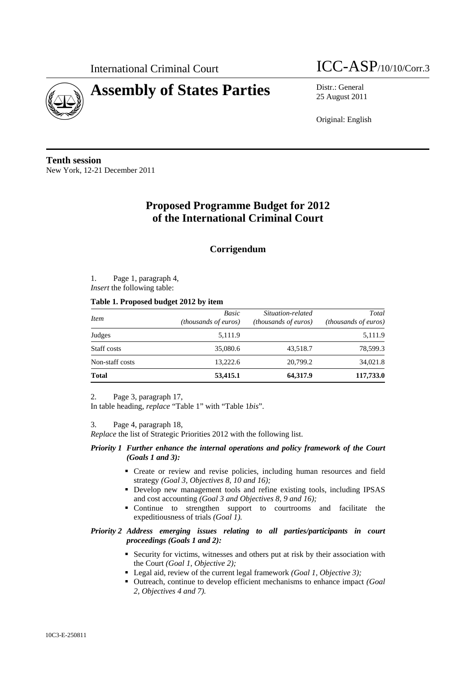

# International Criminal Court  $\text{ICC-ASP}_{/10/10/Corr.3}$

25 August 2011

Original: English

**Tenth session**  New York, 12-21 December 2011

## **Proposed Programme Budget for 2012 of the International Criminal Court**

### **Corrigendum**

1. Page 1, paragraph 4, *Insert* the following table:

#### **Table 1. Proposed budget 2012 by item**

| <i>Item</i>     | Basic<br>(thousands of euros) | Situation-related<br><i>(thousands of euros)</i> | Total<br><i>(thousands of euros)</i> |  |
|-----------------|-------------------------------|--------------------------------------------------|--------------------------------------|--|
| Judges          | 5,111.9                       |                                                  | 5,111.9                              |  |
| Staff costs     | 35,080.6                      | 43,518.7                                         | 78,599.3                             |  |
| Non-staff costs | 13.222.6                      | 20,799.2                                         | 34,021.8                             |  |
| <b>Total</b>    | 53,415.1                      | 64,317.9                                         | 117,733.0                            |  |

2. Page 3, paragraph 17,

In table heading, *replace* "Table 1" with "Table 1*bis*".

3. Page 4, paragraph 18,

*Replace* the list of Strategic Priorities 2012 with the following list.

#### *Priority 1 Further enhance the internal operations and policy framework of the Court (Goals 1 and 3):*

- Create or review and revise policies, including human resources and field strategy *(Goal 3, Objectives 8, 10 and 16);*
- Develop new management tools and refine existing tools, including IPSAS and cost accounting *(Goal 3 and Objectives 8, 9 and 16);*
- Continue to strengthen support to courtrooms and facilitate the expeditiousness of trials *(Goal 1).*

#### *Priority 2 Address emerging issues relating to all parties/participants in court proceedings (Goals 1 and 2):*

- Security for victims, witnesses and others put at risk by their association with the Court *(Goal 1, Objective 2);*
- Legal aid, review of the current legal framework *(Goal 1, Objective 3)*;
- Outreach, continue to develop efficient mechanisms to enhance impact *(Goal*) *2, Objectives 4 and 7).*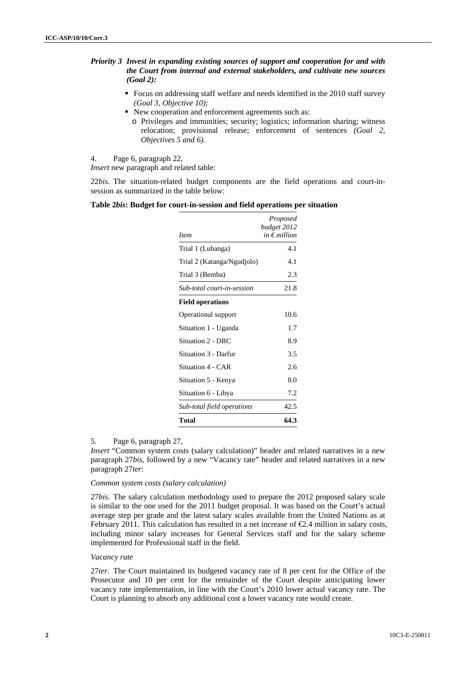#### *Priority 3 Invest in expanding existing sources of support and cooperation for and with the Court from internal and external stakeholders, and cultivate new sources (Goal 2):*

- Focus on addressing staff welfare and needs identified in the 2010 staff survey *(Goal 3, Objective 10);*
- New cooperation and enforcement agreements such as:
	- o Privileges and immunities; security; logistics; information sharing; witness relocation; provisional release; enforcement of sentences *(Goal 2, Objectives 5 and 6).*

4. Page 6, paragraph 22,

*Insert* new paragraph and related table:

22*bis*. The situation-related budget components are the field operations and court-insession as summarized in the table below:

**Table 2***bis***: Budget for court-in-session and field operations per situation** 

| <i>Item</i>                | Proposed<br>budget 2012<br>in $\epsilon$ million |
|----------------------------|--------------------------------------------------|
| Trial 1 (Lubanga)          | 4.1                                              |
| Trial 2 (Katanga/Ngudjolo) | 4.1                                              |
| Trial 3 (Bemba)            | 2.3                                              |
| Sub-total court-in-session | 21.8                                             |
| <b>Field operations</b>    |                                                  |
| Operational support        | 10.6                                             |
| Situation 1 - Uganda       | 1.7                                              |
| Situation 2 - DRC          | 8.9                                              |
| Situation 3 - Darfur       | 3.5                                              |
| Situation 4 - CAR          | 2.6                                              |
| Situation 5 - Kenya        | 8.0                                              |
| Situation 6 - Libya        | 7.2                                              |
| Sub-total field operations | 42.5                                             |
| Total                      | 64.3                                             |

#### 5. Page 6, paragraph 27,

*Insert* "Common system costs (salary calculation)" header and related narratives in a new paragraph 27*bis*, followed by a new "Vacancy rate" header and related narratives in a new paragraph 27*ter*:

#### *Common system costs (salary calculation)*

27*bis*. The salary calculation methodology used to prepare the 2012 proposed salary scale is similar to the one used for the 2011 budget proposal. It was based on the Court's actual average step per grade and the latest salary scales available from the United Nations as at February 2011. This calculation has resulted in a net increase of  $\epsilon$ 2.4 million in salary costs, including minor salary increases for General Services staff and for the salary scheme implemented for Professional staff in the field.

#### *Vacancy rate*

27*ter*. The Court maintained its budgeted vacancy rate of 8 per cent for the Office of the Prosecutor and 10 per cent for the remainder of the Court despite anticipating lower vacancy rate implementation, in line with the Court's 2010 lower actual vacancy rate. The Court is planning to absorb any additional cost a lower vacancy rate would create.